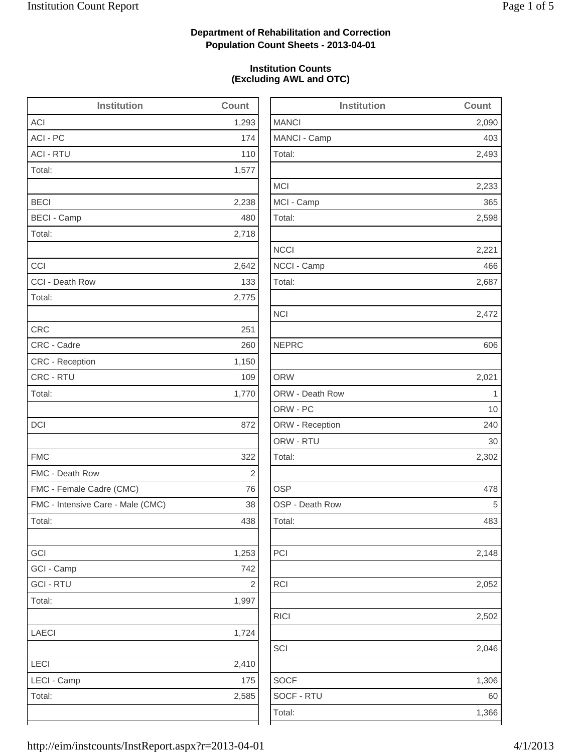2,493

2,233

2,598

2,472

2,302

2,148

2,052

2,502

1,306

1,366

## **Department of Rehabilitation and Correction Population Count Sheets - 2013-04-01**

## **Institution Counts (Excluding AWL and OTC)**

| <b>Institution</b>                | Count      | <b>Institution</b> | Count       |
|-----------------------------------|------------|--------------------|-------------|
| <b>ACI</b>                        | 1,293      | <b>MANCI</b>       | 2,090       |
| ACI - PC                          | 174        | MANCI - Camp       | 403         |
| <b>ACI - RTU</b>                  | 110        | Total:             | 2,493       |
| Total:                            | 1,577      |                    |             |
|                                   |            | <b>MCI</b>         | 2,233       |
| <b>BECI</b>                       | 2,238      | MCI - Camp         | 365         |
| <b>BECI - Camp</b>                | 480        | Total:             | 2,598       |
| Total:                            | 2,718      |                    |             |
|                                   |            | <b>NCCI</b>        | 2,221       |
| CCI                               | 2,642      | NCCI - Camp        | 466         |
| CCI - Death Row                   | 133        | Total:             | 2,687       |
| Total:                            | 2,775      |                    |             |
|                                   |            | <b>NCI</b>         | 2,472       |
| <b>CRC</b>                        | 251        |                    |             |
| CRC - Cadre                       | 260        | <b>NEPRC</b>       | 606         |
| CRC - Reception                   | 1,150      |                    |             |
| CRC - RTU                         | 109        | <b>ORW</b>         | 2,021       |
| Total:                            | 1,770      | ORW - Death Row    | $\mathbf 1$ |
|                                   |            | ORW - PC           | 10          |
| DCI                               | 872        | ORW - Reception    | 240         |
|                                   |            | ORW - RTU          | 30          |
| <b>FMC</b>                        | 322        | Total:             | 2,302       |
| FMC - Death Row                   | 2          |                    |             |
| FMC - Female Cadre (CMC)          | 76         | <b>OSP</b>         | 478         |
| FMC - Intensive Care - Male (CMC) | 38         | OSP - Death Row    | 5           |
| Total:                            | 438        | Total:             | 483         |
| GCI                               | 1,253      | PCI                | 2,148       |
| GCI - Camp                        | 742        |                    |             |
| <b>GCI - RTU</b>                  | $\sqrt{2}$ | <b>RCI</b>         | 2,052       |
| Total:                            | 1,997      |                    |             |
|                                   |            | <b>RICI</b>        | 2,502       |
| <b>LAECI</b>                      | 1,724      |                    |             |
|                                   |            | SCI                | 2,046       |
| LECI                              | 2,410      |                    |             |
| LECI - Camp                       | 175        | <b>SOCF</b>        | 1,306       |
| Total:                            | 2,585      | SOCF - RTU         | 60          |
|                                   |            | Total:             | 1,366       |
|                                   |            |                    |             |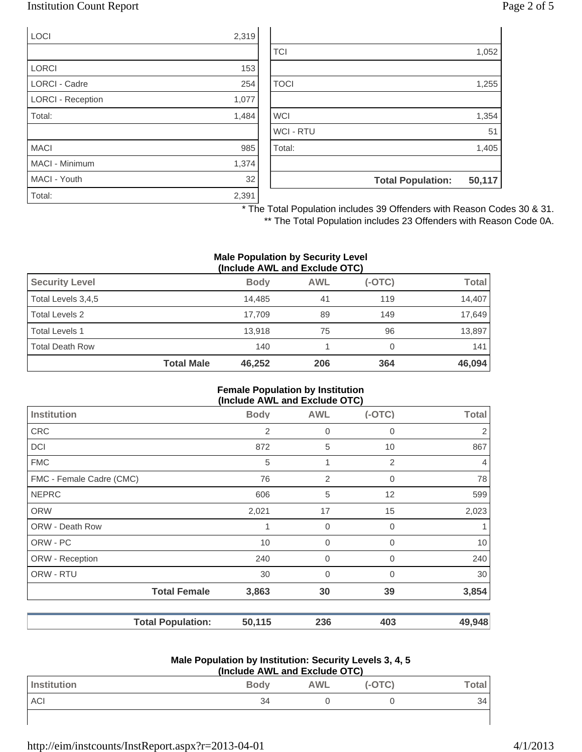## Institution Count Report Page 2 of 5

| <b>LOCI</b>              | 2,319 |
|--------------------------|-------|
|                          |       |
| <b>LORCI</b>             | 153   |
| <b>LORCI - Cadre</b>     | 254   |
| <b>LORCI - Reception</b> | 1,077 |
| Total:                   | 1,484 |
|                          |       |
| <b>MACI</b>              | 985   |
| MACI - Minimum           | 1,374 |
| MACI - Youth             | 32    |
| Total:                   | 2,391 |

| 1,255<br>1,354<br>51<br>1,405 |
|-------------------------------|
|                               |
|                               |
|                               |
|                               |
|                               |
|                               |
|                               |
| 1,052                         |
|                               |

\* The Total Population includes 39 Offenders with Reason Codes 30 & 31.

\*\* The Total Population includes 23 Offenders with Reason Code 0A.

#### **Male Population by Security Level (Include AWL and Exclude OTC)**

| $\frac{1}{2}$         |                   |             |            |          |              |
|-----------------------|-------------------|-------------|------------|----------|--------------|
| <b>Security Level</b> |                   | <b>Body</b> | <b>AWL</b> | $(-OTC)$ | <b>Total</b> |
| Total Levels 3,4,5    |                   | 14.485      | 41         | 119      | 14.407       |
| Total Levels 2        |                   | 17.709      | 89         | 149      | 17,649       |
| Total Levels 1        |                   | 13.918      | 75         | 96       | 13,897       |
| Total Death Row       |                   | 140         |            |          | 141          |
|                       | <b>Total Male</b> | 46,252      | 206        | 364      | 46,094       |

#### **Female Population by Institution (Include AWL and Exclude OTC)**

|                          | $(110144C)$ and $210144C$ |             |             |                |
|--------------------------|---------------------------|-------------|-------------|----------------|
| <b>Institution</b>       | <b>Body</b>               | <b>AWL</b>  | $(-OTC)$    | <b>Total</b>   |
| <b>CRC</b>               | 2                         | $\mathbf 0$ | 0           | $\overline{2}$ |
| <b>DCI</b>               | 872                       | 5           | 10          | 867            |
| <b>FMC</b>               | 5                         | 1           | 2           | $\overline{4}$ |
| FMC - Female Cadre (CMC) | 76                        | 2           | $\mathbf 0$ | 78             |
| <b>NEPRC</b>             | 606                       | 5           | 12          | 599            |
| <b>ORW</b>               | 2,021                     | 17          | 15          | 2,023          |
| ORW - Death Row          | 1                         | $\mathbf 0$ | $\mathbf 0$ |                |
| ORW - PC                 | 10                        | $\mathbf 0$ | $\mathbf 0$ | 10             |
| ORW - Reception          | 240                       | 0           | $\mathbf 0$ | 240            |
| ORW - RTU                | 30                        | $\mathbf 0$ | $\mathbf 0$ | 30             |
| <b>Total Female</b>      | 3,863                     | 30          | 39          | 3,854          |
| <b>Total Population:</b> | 50,115                    | 236         | 403         | 49,948         |

#### **Male Population by Institution: Security Levels 3, 4, 5 (Include AWL and Exclude OTC)**

| (include AVVL and Exclude OTC) |             |            |          |              |
|--------------------------------|-------------|------------|----------|--------------|
| Institution                    | <b>Body</b> | <b>AWL</b> | $(-OTC)$ | <b>Total</b> |
| <b>ACI</b>                     | 34          |            |          | 34           |
|                                |             |            |          |              |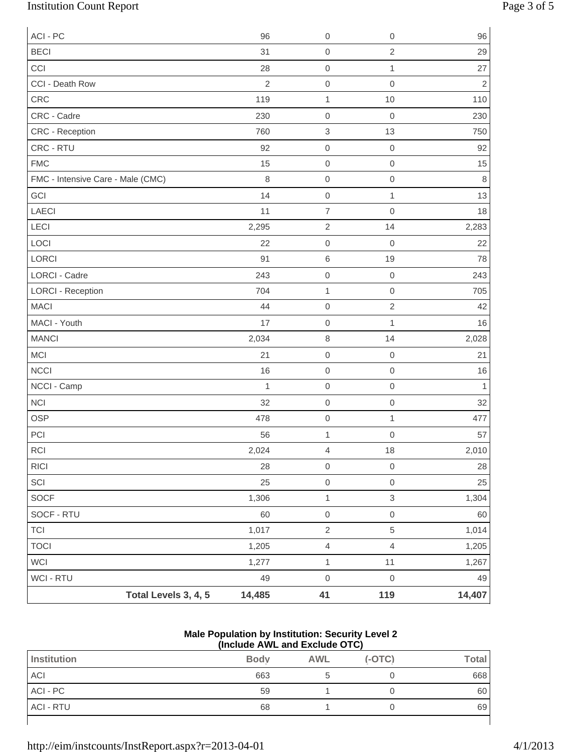# Institution Count Report Page 3 of 5

| ACI - PC                          |                      | 96             | $\mathbf 0$      | $\mathsf{O}\xspace$ | 96             |
|-----------------------------------|----------------------|----------------|------------------|---------------------|----------------|
| <b>BECI</b>                       |                      | 31             | $\boldsymbol{0}$ | $\overline{2}$      | 29             |
| CCI                               |                      | 28             | $\mathbf 0$      | $\mathbf 1$         | 27             |
| CCI - Death Row                   |                      | $\overline{2}$ | $\boldsymbol{0}$ | $\mathsf{O}\xspace$ | $\overline{2}$ |
| CRC                               |                      | 119            | $\mathbf{1}$     | $10$                | 110            |
| CRC - Cadre                       |                      | 230            | $\boldsymbol{0}$ | $\mathbf 0$         | 230            |
| CRC - Reception                   |                      | 760            | $\,$ 3 $\,$      | 13                  | 750            |
| CRC - RTU                         |                      | 92             | $\mathbf 0$      | $\mathbf 0$         | 92             |
| <b>FMC</b>                        |                      | 15             | $\mathbf 0$      | $\mathsf{O}\xspace$ | 15             |
| FMC - Intensive Care - Male (CMC) |                      | $\,8\,$        | $\boldsymbol{0}$ | $\mathsf{O}\xspace$ | $\,8\,$        |
| GCI                               |                      | 14             | $\boldsymbol{0}$ | $\mathbf{1}$        | 13             |
| <b>LAECI</b>                      |                      | 11             | $\overline{7}$   | $\mathsf{O}\xspace$ | 18             |
| LECI                              |                      | 2,295          | $\overline{2}$   | 14                  | 2,283          |
| LOCI                              |                      | 22             | $\boldsymbol{0}$ | $\mathbf 0$         | 22             |
| LORCI                             |                      | 91             | $\,6\,$          | 19                  | 78             |
| <b>LORCI - Cadre</b>              |                      | 243            | $\mbox{O}$       | $\mathbf 0$         | 243            |
| <b>LORCI - Reception</b>          |                      | 704            | $\mathbf{1}$     | $\mathsf{O}\xspace$ | 705            |
| <b>MACI</b>                       |                      | 44             | $\mbox{O}$       | $\sqrt{2}$          | 42             |
| MACI - Youth                      |                      | 17             | $\mathbf 0$      | $\mathbf{1}$        | 16             |
| <b>MANCI</b>                      |                      | 2,034          | $\,8\,$          | 14                  | 2,028          |
| <b>MCI</b>                        |                      | 21             | $\boldsymbol{0}$ | $\mathbf 0$         | 21             |
| <b>NCCI</b>                       |                      | 16             | $\mathbf 0$      | $\mathsf{O}\xspace$ | 16             |
| NCCI - Camp                       |                      | $\mathbf{1}$   | $\mbox{O}$       | $\mathsf{O}\xspace$ | $\mathbf{1}$   |
| <b>NCI</b>                        |                      | 32             | $\mathbf 0$      | $\mathsf{O}\xspace$ | 32             |
| <b>OSP</b>                        |                      | 478            | $\mbox{O}$       | $\mathbf{1}$        | 477            |
| PCI                               |                      | 56             | $\mathbf 1$      | $\mathbf 0$         | 57             |
| $\sf RCI$                         |                      | 2,024          | $\overline{4}$   | $18$                | 2,010          |
| <b>RICI</b>                       |                      | 28             | $\boldsymbol{0}$ | $\,0\,$             | 28             |
| SCI                               |                      | 25             | $\mbox{O}$       | $\mathsf{O}\xspace$ | 25             |
| SOCF                              |                      | 1,306          | $\mathbf{1}$     | $\mathfrak{S}$      | 1,304          |
| SOCF - RTU                        |                      | 60             | $\mbox{O}$       | $\mathsf{O}\xspace$ | 60             |
| <b>TCI</b>                        |                      | 1,017          | $\sqrt{2}$       | 5                   | 1,014          |
| <b>TOCI</b>                       |                      | 1,205          | $\overline{4}$   | $\overline{4}$      | 1,205          |
| WCI                               |                      | 1,277          | $\mathbf 1$      | 11                  | 1,267          |
| WCI - RTU                         |                      | 49             | $\mbox{O}$       | $\,0\,$             | 49             |
|                                   | Total Levels 3, 4, 5 | 14,485         | 41               | 119                 | 14,407         |

### **Male Population by Institution: Security Level 2 (Include AWL and Exclude OTC)**

|                    | .           |            |          |              |
|--------------------|-------------|------------|----------|--------------|
| <b>Institution</b> | <b>Body</b> | <b>AWL</b> | $(-OTC)$ | <b>Total</b> |
| ACI                | 663         |            |          | 668          |
| ACI - PC           | 59          |            |          | 60           |
| <b>ACI - RTU</b>   | 68          |            |          | 69           |
|                    |             |            |          |              |

http://eim/instcounts/InstReport.aspx?r=2013-04-01 4/1/2013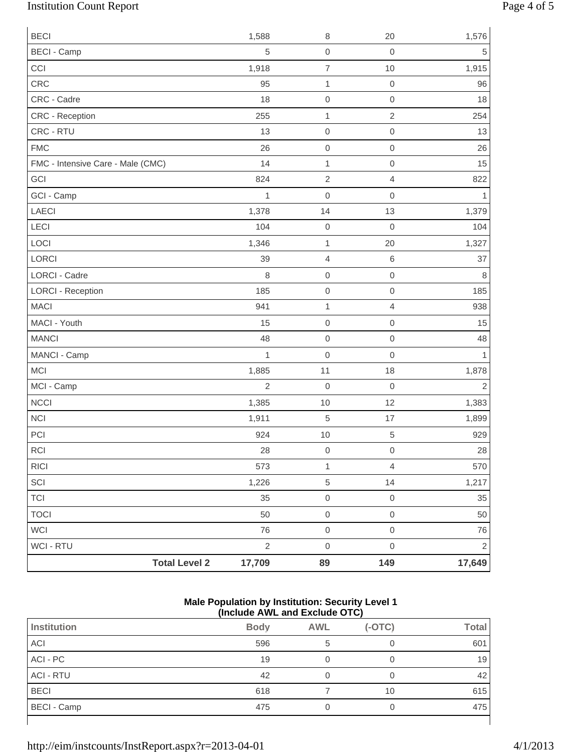# Institution Count Report Page 4 of 5

| <b>Total Level 2</b>              | 17,709         | 89                       | 149                      | 17,649         |
|-----------------------------------|----------------|--------------------------|--------------------------|----------------|
| WCI - RTU                         | $\sqrt{2}$     | $\mathbf 0$              | $\mathbf 0$              | $\mathbf{2}$   |
| WCI                               | 76             | $\mathsf{O}\xspace$      | $\mathbf 0$              | 76             |
| <b>TOCI</b>                       | 50             | $\mathsf{O}\xspace$      | $\mathbf 0$              | 50             |
| <b>TCI</b>                        | 35             | $\mathsf{O}\xspace$      | $\mathbf 0$              | 35             |
| SCI                               | 1,226          | 5                        | 14                       | 1,217          |
| <b>RICI</b>                       | 573            | $\mathbf{1}$             | $\overline{4}$           | 570            |
| $\sf RCI$                         | 28             | $\,0\,$                  | $\mathbf 0$              | 28             |
| PCI                               | 924            | 10                       | 5                        | 929            |
| <b>NCI</b>                        | 1,911          | 5                        | 17                       | 1,899          |
| <b>NCCI</b>                       | 1,385          | 10                       | 12                       | 1,383          |
| MCI - Camp                        | $\overline{2}$ | $\boldsymbol{0}$         | $\mathbf 0$              | $\overline{2}$ |
| MCI                               | 1,885          | 11                       | 18                       | 1,878          |
| MANCI - Camp                      | $\mathbf{1}$   | $\mathbf 0$              | $\mathbf 0$              | $\mathbf{1}$   |
| <b>MANCI</b>                      | 48             | $\mathsf{O}\xspace$      | $\mathbf 0$              | 48             |
| MACI - Youth                      | 15             | $\mathbf 0$              | $\mathbf 0$              | 15             |
| <b>MACI</b>                       | 941            | $\mathbf 1$              | $\overline{4}$           | 938            |
| <b>LORCI - Reception</b>          | 185            | 0                        | $\mbox{O}$               | 185            |
| LORCI - Cadre                     | $\,8\,$        | $\mathbf 0$              | $\mathbf 0$              | $\,8\,$        |
| LORCI                             | 39             | 4                        | $\,6\,$                  | 37             |
| LOCI                              | 1,346          | $\mathbf{1}$             | 20                       | 1,327          |
| LECI                              | 104            | $\mathbf 0$              | $\mathbf 0$              | 104            |
| <b>LAECI</b>                      | 1,378          | 14                       | 13                       | 1,379          |
| GCI - Camp                        | $\mathbf{1}$   | $\mathbf 0$              | $\mathbf 0$              | $\mathbf{1}$   |
| GCI                               | 824            | $\overline{2}$           | $\overline{4}$           | 822            |
| FMC - Intensive Care - Male (CMC) | 14             | 0<br>$\mathbf{1}$        | $\mathbf 0$              | 15             |
| <b>FMC</b>                        | 26             | 0                        | $\mbox{O}$               | 26             |
| CRC - Reception<br>CRC - RTU      | 255<br>13      | $\mathbf{1}$             | $\sqrt{2}$<br>$\mbox{O}$ | 254<br>13      |
| CRC - Cadre                       | 18             | $\mathbf 0$              | $\mathbf 0$              | 18             |
| CRC                               | 95             | $\mathbf{1}$             | $\mathbf 0$              | 96             |
| CCI                               | 1,918          | $\overline{\mathcal{I}}$ | 10                       | 1,915          |
| <b>BECI - Camp</b>                | $\,$ 5 $\,$    | 0                        | $\mathbf 0$              | $\sqrt{5}$     |
| <b>BECI</b>                       | 1,588          | 8                        | 20                       | 1,576          |
|                                   |                |                          |                          |                |

### **Male Population by Institution: Security Level 1 (Include AWL and Exclude OTC)**

| Institution      | <b>Body</b> | <b>AWL</b> | $(-OTC)$ | <b>Total</b> |
|------------------|-------------|------------|----------|--------------|
| ACI              | 596         | 5          |          | 601          |
| ACI - PC         | 19          |            |          | 19           |
| <b>ACI - RTU</b> | 42          | 0          |          | 42           |
| <b>BECI</b>      | 618         |            | 10       | 615          |
| BECI - Camp      | 475         |            |          | 475          |
|                  |             |            |          |              |